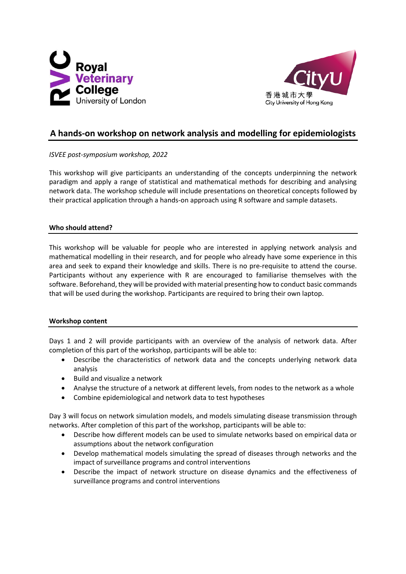



# **A hands-on workshop on network analysis and modelling for epidemiologists**

*ISVEE post-symposium workshop, 2022*

This workshop will give participants an understanding of the concepts underpinning the network paradigm and apply a range of statistical and mathematical methods for describing and analysing network data. The workshop schedule will include presentations on theoretical concepts followed by their practical application through a hands-on approach using R software and sample datasets.

## **Who should attend?**

This workshop will be valuable for people who are interested in applying network analysis and mathematical modelling in their research, and for people who already have some experience in this area and seek to expand their knowledge and skills. There is no pre-requisite to attend the course. Participants without any experience with R are encouraged to familiarise themselves with the software. Beforehand, they will be provided with material presenting how to conduct basic commands that will be used during the workshop. Participants are required to bring their own laptop.

#### **Workshop content**

Days 1 and 2 will provide participants with an overview of the analysis of network data. After completion of this part of the workshop, participants will be able to:

- Describe the characteristics of network data and the concepts underlying network data analysis
- Build and visualize a network
- Analyse the structure of a network at different levels, from nodes to the network as a whole
- Combine epidemiological and network data to test hypotheses

Day 3 will focus on network simulation models, and models simulating disease transmission through networks. After completion of this part of the workshop, participants will be able to:

- Describe how different models can be used to simulate networks based on empirical data or assumptions about the network configuration
- Develop mathematical models simulating the spread of diseases through networks and the impact of surveillance programs and control interventions
- Describe the impact of network structure on disease dynamics and the effectiveness of surveillance programs and control interventions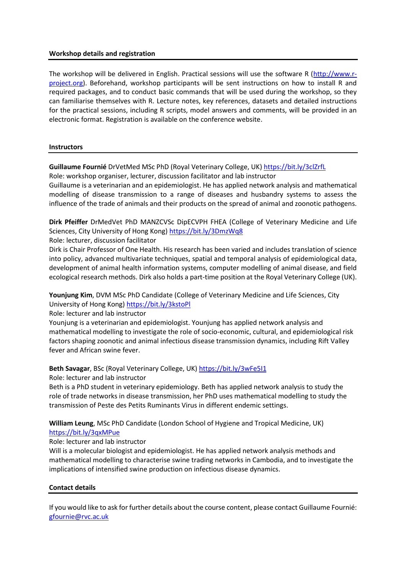#### **Workshop details and registration**

The workshop will be delivered in English. Practical sessions will use the software R [\(http://www.r](http://www.r-project.org/)[project.org\)](http://www.r-project.org/). Beforehand, workshop participants will be sent instructions on how to install R and required packages, and to conduct basic commands that will be used during the workshop, so they can familiarise themselves with R. Lecture notes, key references, datasets and detailed instructions for the practical sessions, including R scripts, model answers and comments, will be provided in an electronic format. Registration is available on the conference website.

#### **Instructors**

Guillaume Fournié DrVetMed MSc PhD (Royal Veterinary College, UK) <https://bit.ly/3clZrfL> Role: workshop organiser, lecturer, discussion facilitator and lab instructor

Guillaume is a veterinarian and an epidemiologist. He has applied network analysis and mathematical modelling of disease transmission to a range of diseases and husbandry systems to assess the influence of the trade of animals and their products on the spread of animal and zoonotic pathogens.

**Dirk Pfeiffer** DrMedVet PhD MANZCVSc DipECVPH FHEA (College of Veterinary Medicine and Life Sciences, City University of Hong Kong) <https://bit.ly/3DmzWq8>

#### Role: lecturer, discussion facilitator

Dirk is Chair Professor of One Health. His research has been varied and includes translation of science into policy, advanced multivariate techniques, spatial and temporal analysis of epidemiological data, development of animal health information systems, computer modelling of animal disease, and field ecological research methods. Dirk also holds a part-time position at the Royal Veterinary College (UK).

**Younjung Kim**, DVM MSc PhD Candidate (College of Veterinary Medicine and Life Sciences, City University of Hong Kong) <https://bit.ly/3kstoPl>

#### Role: lecturer and lab instructor

Younjung is a veterinarian and epidemiologist. Younjung has applied network analysis and mathematical modelling to investigate the role of socio-economic, cultural, and epidemiological risk factors shaping zoonotic and animal infectious disease transmission dynamics, including Rift Valley fever and African swine fever.

# Beth Savagar, BSc (Royal Veterinary College, UK) <https://bit.ly/3wFe5I1>

Role: lecturer and lab instructor

Beth is a PhD student in veterinary epidemiology. Beth has applied network analysis to study the role of trade networks in disease transmission, her PhD uses mathematical modelling to study the transmission of Peste des Petits Ruminants Virus in different endemic settings.

**William Leung**, MSc PhD Candidate (London School of Hygiene and Tropical Medicine, UK) <https://bit.ly/3qxMPue>

#### Role: lecturer and lab instructor

Will is a molecular biologist and epidemiologist. He has applied network analysis methods and mathematical modelling to characterise swine trading networks in Cambodia, and to investigate the implications of intensified swine production on infectious disease dynamics.

#### **Contact details**

If you would like to ask for further details about the course content, please contact Guillaume Fournié: [gfournie@rvc.ac.uk](mailto:gfournie@rvc.ac.uk)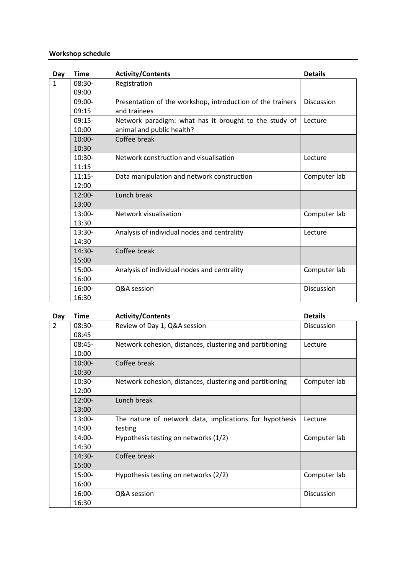## **Workshop schedule**

| Day          | <b>Time</b> | <b>Activity/Contents</b>                                   | <b>Details</b>    |
|--------------|-------------|------------------------------------------------------------|-------------------|
| $\mathbf{1}$ | $08:30-$    | Registration                                               |                   |
|              | 09:00       |                                                            |                   |
|              | $09:00-$    | Presentation of the workshop, introduction of the trainers | <b>Discussion</b> |
|              | 09:15       | and trainees                                               |                   |
|              | $09:15-$    | Network paradigm: what has it brought to the study of      | Lecture           |
|              | 10:00       | animal and public health?                                  |                   |
|              | $10:00 -$   | Coffee break                                               |                   |
|              | 10:30       |                                                            |                   |
|              | $10:30-$    | Network construction and visualisation                     | Lecture           |
|              | 11:15       |                                                            |                   |
|              | $11:15-$    | Data manipulation and network construction                 | Computer lab      |
|              | 12:00       |                                                            |                   |
|              | $12:00-$    | Lunch break                                                |                   |
|              | 13:00       |                                                            |                   |
|              | $13:00-$    | Network visualisation                                      | Computer lab      |
|              | 13:30       |                                                            |                   |
|              | $13:30-$    | Analysis of individual nodes and centrality                | Lecture           |
|              | 14:30       |                                                            |                   |
|              | $14:30-$    | Coffee break                                               |                   |
|              | 15:00       |                                                            |                   |
|              | $15:00-$    | Analysis of individual nodes and centrality                | Computer lab      |
|              | 16:00       |                                                            |                   |
|              | $16:00-$    | Q&A session                                                | <b>Discussion</b> |
|              | 16:30       |                                                            |                   |

| Day            | Time     | <b>Activity/Contents</b>                                 | <b>Details</b> |
|----------------|----------|----------------------------------------------------------|----------------|
| $\overline{2}$ | $08:30-$ | Review of Day 1, Q&A session                             | Discussion     |
|                | 08:45    |                                                          |                |
|                | $08:45-$ | Network cohesion, distances, clustering and partitioning | Lecture        |
|                | 10:00    |                                                          |                |
|                | $10:00-$ | Coffee break                                             |                |
|                | 10:30    |                                                          |                |
|                | $10:30-$ | Network cohesion, distances, clustering and partitioning | Computer lab   |
|                | 12:00    |                                                          |                |
|                | $12:00-$ | Lunch break                                              |                |
|                | 13:00    |                                                          |                |
|                | $13:00-$ | The nature of network data, implications for hypothesis  | Lecture        |
|                | 14:00    | testing                                                  |                |
|                | 14:00-   | Hypothesis testing on networks (1/2)                     | Computer lab   |
|                | 14:30    |                                                          |                |
|                | $14:30-$ | Coffee break                                             |                |
|                | 15:00    |                                                          |                |
|                | 15:00-   | Hypothesis testing on networks (2/2)                     | Computer lab   |
|                | 16:00    |                                                          |                |
|                | $16:00-$ | Q&A session                                              | Discussion     |
|                | 16:30    |                                                          |                |